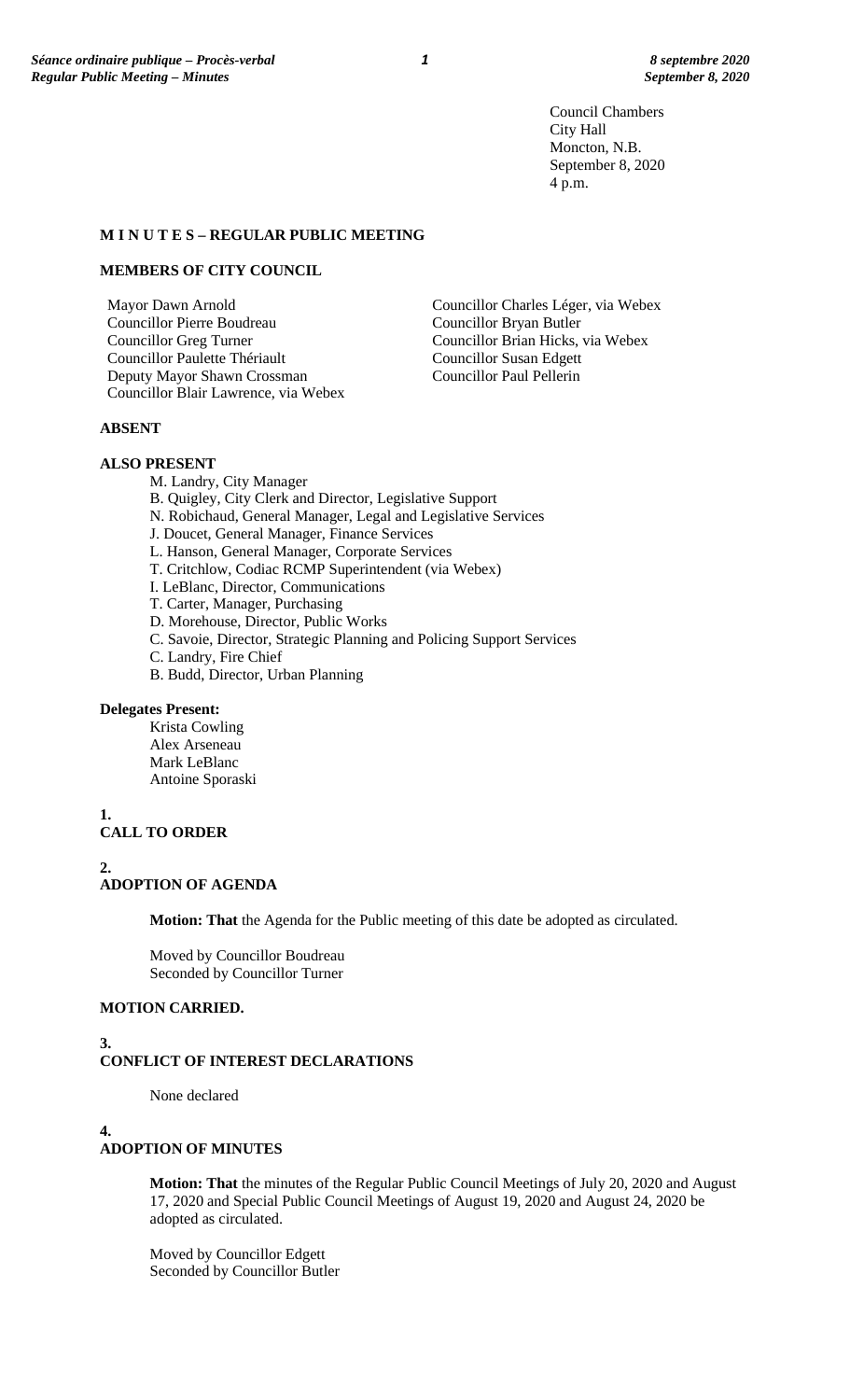Council Chambers City Hall Moncton, N.B. September 8, 2020 4 p.m.

#### **M I N U T E S – REGULAR PUBLIC MEETING**

#### **MEMBERS OF CITY COUNCIL**

Mayor Dawn Arnold Councillor Pierre Boudreau Councillor Greg Turner Councillor Paulette Thériault Deputy Mayor Shawn Crossman Councillor Blair Lawrence, via Webex

Councillor Brian Hicks, via Webex Councillor Susan Edgett Councillor Paul Pellerin

Councillor Bryan Butler

Councillor Charles Léger, via Webex

# **ABSENT**

# **ALSO PRESENT**

- M. Landry, City Manager
- B. Quigley, City Clerk and Director, Legislative Support
- N. Robichaud, General Manager, Legal and Legislative Services
- J. Doucet, General Manager, Finance Services
- L. Hanson, General Manager, Corporate Services
- T. Critchlow, Codiac RCMP Superintendent (via Webex)
- I. LeBlanc, Director, Communications
- T. Carter, Manager, Purchasing
- D. Morehouse, Director, Public Works
- C. Savoie, Director, Strategic Planning and Policing Support Services
- C. Landry, Fire Chief
- B. Budd, Director, Urban Planning

#### **Delegates Present:**

Krista Cowling Alex Arseneau Mark LeBlanc Antoine Sporaski

**1.**

# **CALL TO ORDER**

**2. ADOPTION OF AGENDA**

**Motion: That** the Agenda for the Public meeting of this date be adopted as circulated.

Moved by Councillor Boudreau Seconded by Councillor Turner

# **MOTION CARRIED.**

**3. CONFLICT OF INTEREST DECLARATIONS**

None declared

#### **4. ADOPTION OF MINUTES**

**Motion: That** the minutes of the Regular Public Council Meetings of July 20, 2020 and August 17, 2020 and Special Public Council Meetings of August 19, 2020 and August 24, 2020 be adopted as circulated.

Moved by Councillor Edgett Seconded by Councillor Butler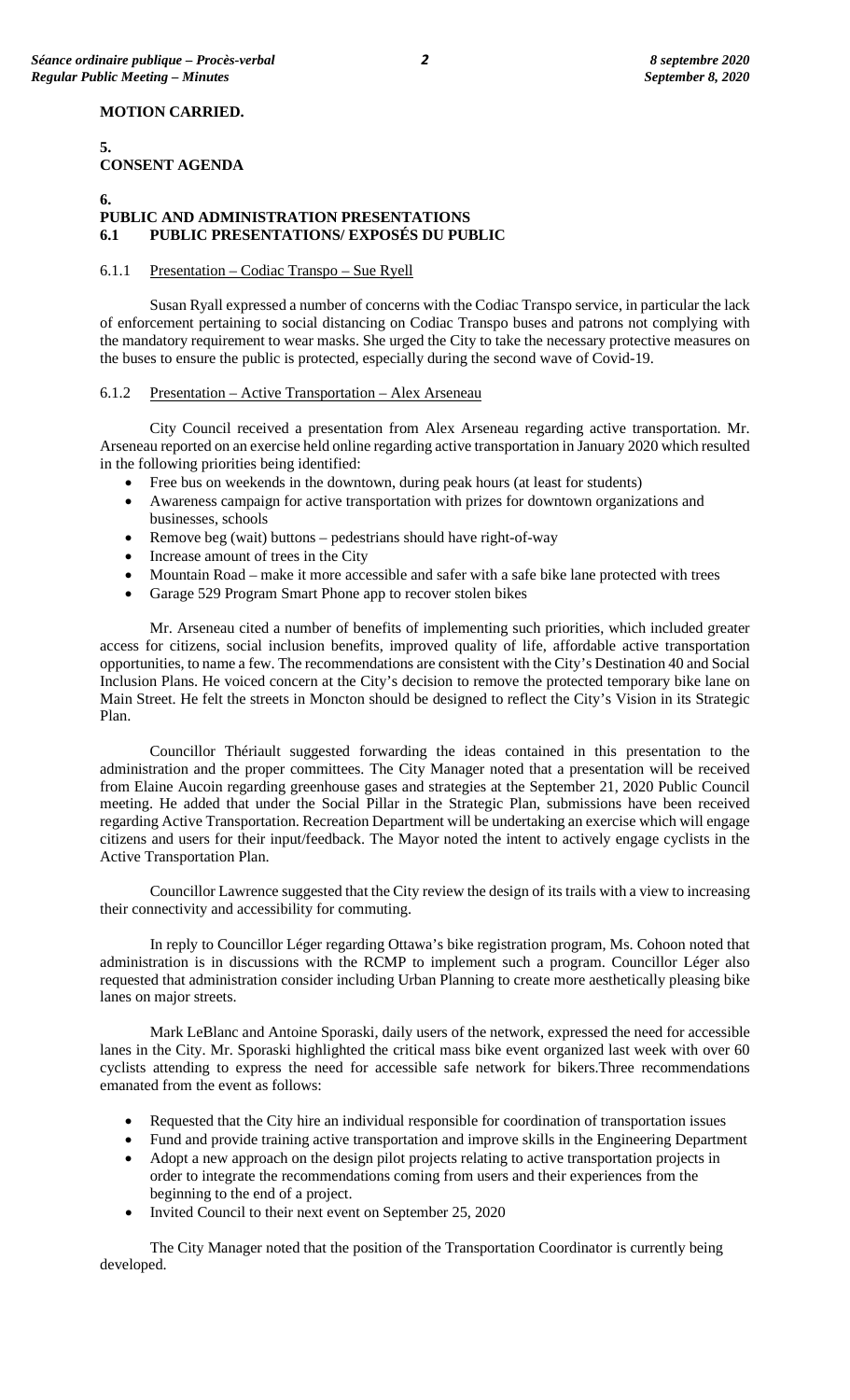# **MOTION CARRIED.**

# **CONSENT AGENDA**

# **6.**

**5.**

# **PUBLIC AND ADMINISTRATION PRESENTATIONS 6.1 PUBLIC PRESENTATIONS/ EXPOSÉS DU PUBLIC**

# 6.1.1 Presentation – Codiac Transpo – Sue Ryell

Susan Ryall expressed a number of concerns with the Codiac Transpo service, in particular the lack of enforcement pertaining to social distancing on Codiac Transpo buses and patrons not complying with the mandatory requirement to wear masks. She urged the City to take the necessary protective measures on the buses to ensure the public is protected, especially during the second wave of Covid-19.

# 6.1.2 Presentation – Active Transportation – Alex Arseneau

City Council received a presentation from Alex Arseneau regarding active transportation. Mr. Arseneau reported on an exercise held online regarding active transportation in January 2020 which resulted in the following priorities being identified:

- Free bus on weekends in the downtown, during peak hours (at least for students)
- Awareness campaign for active transportation with prizes for downtown organizations and businesses, schools
- Remove beg (wait) buttons pedestrians should have right-of-way
- Increase amount of trees in the City
- Mountain Road make it more accessible and safer with a safe bike lane protected with trees
- Garage 529 Program Smart Phone app to recover stolen bikes

Mr. Arseneau cited a number of benefits of implementing such priorities, which included greater access for citizens, social inclusion benefits, improved quality of life, affordable active transportation opportunities, to name a few. The recommendations are consistent with the City's Destination 40 and Social Inclusion Plans. He voiced concern at the City's decision to remove the protected temporary bike lane on Main Street. He felt the streets in Moncton should be designed to reflect the City's Vision in its Strategic Plan.

Councillor Thériault suggested forwarding the ideas contained in this presentation to the administration and the proper committees. The City Manager noted that a presentation will be received from Elaine Aucoin regarding greenhouse gases and strategies at the September 21, 2020 Public Council meeting. He added that under the Social Pillar in the Strategic Plan, submissions have been received regarding Active Transportation. Recreation Department will be undertaking an exercise which will engage citizens and users for their input/feedback. The Mayor noted the intent to actively engage cyclists in the Active Transportation Plan.

Councillor Lawrence suggested that the City review the design of its trails with a view to increasing their connectivity and accessibility for commuting.

In reply to Councillor Léger regarding Ottawa's bike registration program, Ms. Cohoon noted that administration is in discussions with the RCMP to implement such a program. Councillor Léger also requested that administration consider including Urban Planning to create more aesthetically pleasing bike lanes on major streets.

Mark LeBlanc and Antoine Sporaski, daily users of the network, expressed the need for accessible lanes in the City. Mr. Sporaski highlighted the critical mass bike event organized last week with over 60 cyclists attending to express the need for accessible safe network for bikers.Three recommendations emanated from the event as follows:

- Requested that the City hire an individual responsible for coordination of transportation issues
- Fund and provide training active transportation and improve skills in the Engineering Department
- Adopt a new approach on the design pilot projects relating to active transportation projects in order to integrate the recommendations coming from users and their experiences from the beginning to the end of a project.
- Invited Council to their next event on September 25, 2020

The City Manager noted that the position of the Transportation Coordinator is currently being developed.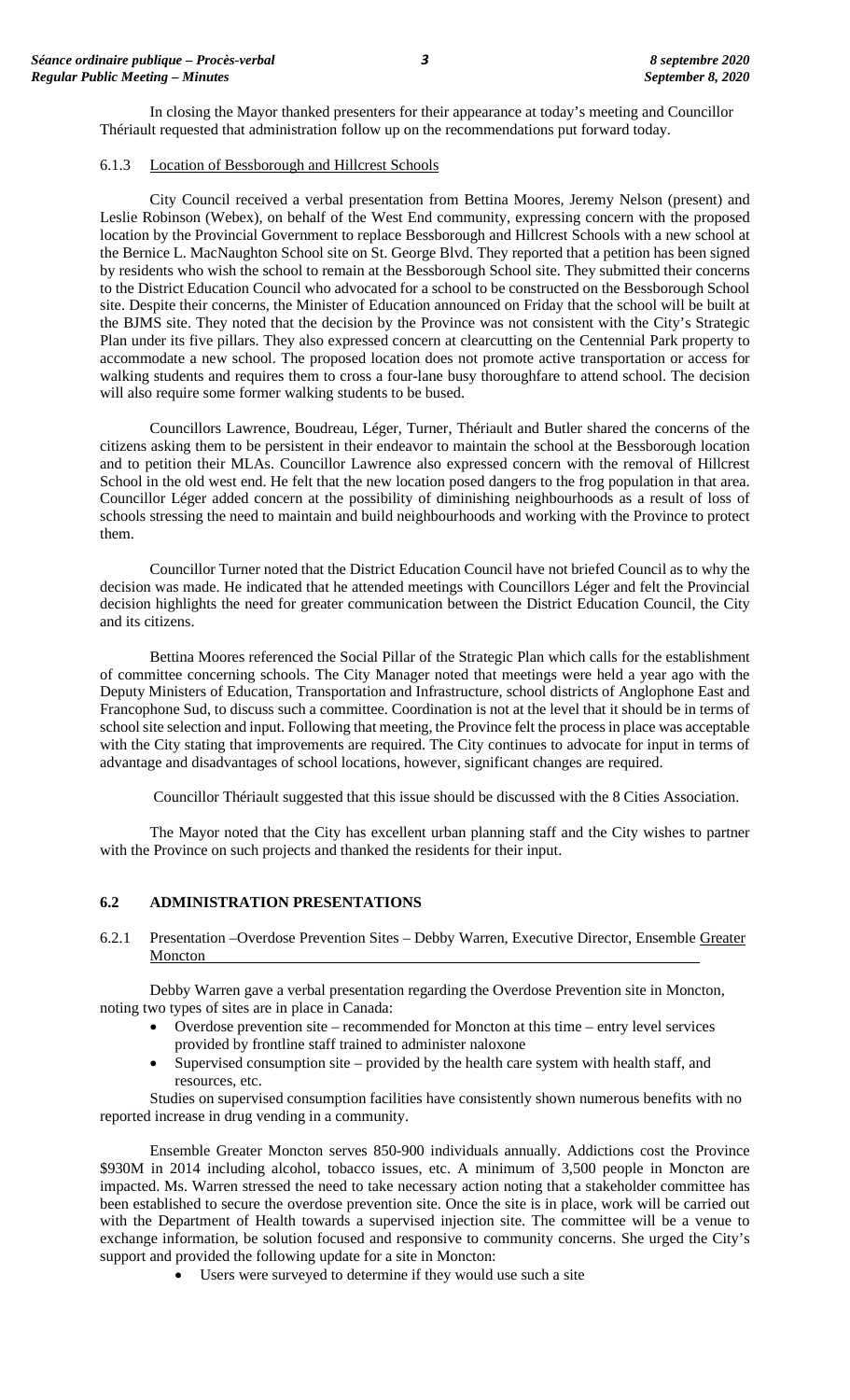In closing the Mayor thanked presenters for their appearance at today's meeting and Councillor Thériault requested that administration follow up on the recommendations put forward today.

# 6.1.3 Location of Bessborough and Hillcrest Schools

City Council received a verbal presentation from Bettina Moores, Jeremy Nelson (present) and Leslie Robinson (Webex), on behalf of the West End community, expressing concern with the proposed location by the Provincial Government to replace Bessborough and Hillcrest Schools with a new school at the Bernice L. MacNaughton School site on St. George Blvd. They reported that a petition has been signed by residents who wish the school to remain at the Bessborough School site. They submitted their concerns to the District Education Council who advocated for a school to be constructed on the Bessborough School site. Despite their concerns, the Minister of Education announced on Friday that the school will be built at the BJMS site. They noted that the decision by the Province was not consistent with the City's Strategic Plan under its five pillars. They also expressed concern at clearcutting on the Centennial Park property to accommodate a new school. The proposed location does not promote active transportation or access for walking students and requires them to cross a four-lane busy thoroughfare to attend school. The decision will also require some former walking students to be bused.

Councillors Lawrence, Boudreau, Léger, Turner, Thériault and Butler shared the concerns of the citizens asking them to be persistent in their endeavor to maintain the school at the Bessborough location and to petition their MLAs. Councillor Lawrence also expressed concern with the removal of Hillcrest School in the old west end. He felt that the new location posed dangers to the frog population in that area. Councillor Léger added concern at the possibility of diminishing neighbourhoods as a result of loss of schools stressing the need to maintain and build neighbourhoods and working with the Province to protect them.

Councillor Turner noted that the District Education Council have not briefed Council as to why the decision was made. He indicated that he attended meetings with Councillors Léger and felt the Provincial decision highlights the need for greater communication between the District Education Council, the City and its citizens.

Bettina Moores referenced the Social Pillar of the Strategic Plan which calls for the establishment of committee concerning schools. The City Manager noted that meetings were held a year ago with the Deputy Ministers of Education, Transportation and Infrastructure, school districts of Anglophone East and Francophone Sud, to discuss such a committee. Coordination is not at the level that it should be in terms of school site selection and input. Following that meeting, the Province felt the process in place was acceptable with the City stating that improvements are required. The City continues to advocate for input in terms of advantage and disadvantages of school locations, however, significant changes are required.

Councillor Thériault suggested that this issue should be discussed with the 8 Cities Association.

The Mayor noted that the City has excellent urban planning staff and the City wishes to partner with the Province on such projects and thanked the residents for their input.

#### **6.2 ADMINISTRATION PRESENTATIONS**

6.2.1 Presentation –Overdose Prevention Sites – Debby Warren, Executive Director, Ensemble Greater **Moncton** 

Debby Warren gave a verbal presentation regarding the Overdose Prevention site in Moncton, noting two types of sites are in place in Canada:

- Overdose prevention site recommended for Moncton at this time entry level services provided by frontline staff trained to administer naloxone
- Supervised consumption site provided by the health care system with health staff, and resources, etc.

Studies on supervised consumption facilities have consistently shown numerous benefits with no reported increase in drug vending in a community.

Ensemble Greater Moncton serves 850-900 individuals annually. Addictions cost the Province \$930M in 2014 including alcohol, tobacco issues, etc. A minimum of 3,500 people in Moncton are impacted. Ms. Warren stressed the need to take necessary action noting that a stakeholder committee has been established to secure the overdose prevention site. Once the site is in place, work will be carried out with the Department of Health towards a supervised injection site. The committee will be a venue to exchange information, be solution focused and responsive to community concerns. She urged the City's support and provided the following update for a site in Moncton:

• Users were surveyed to determine if they would use such a site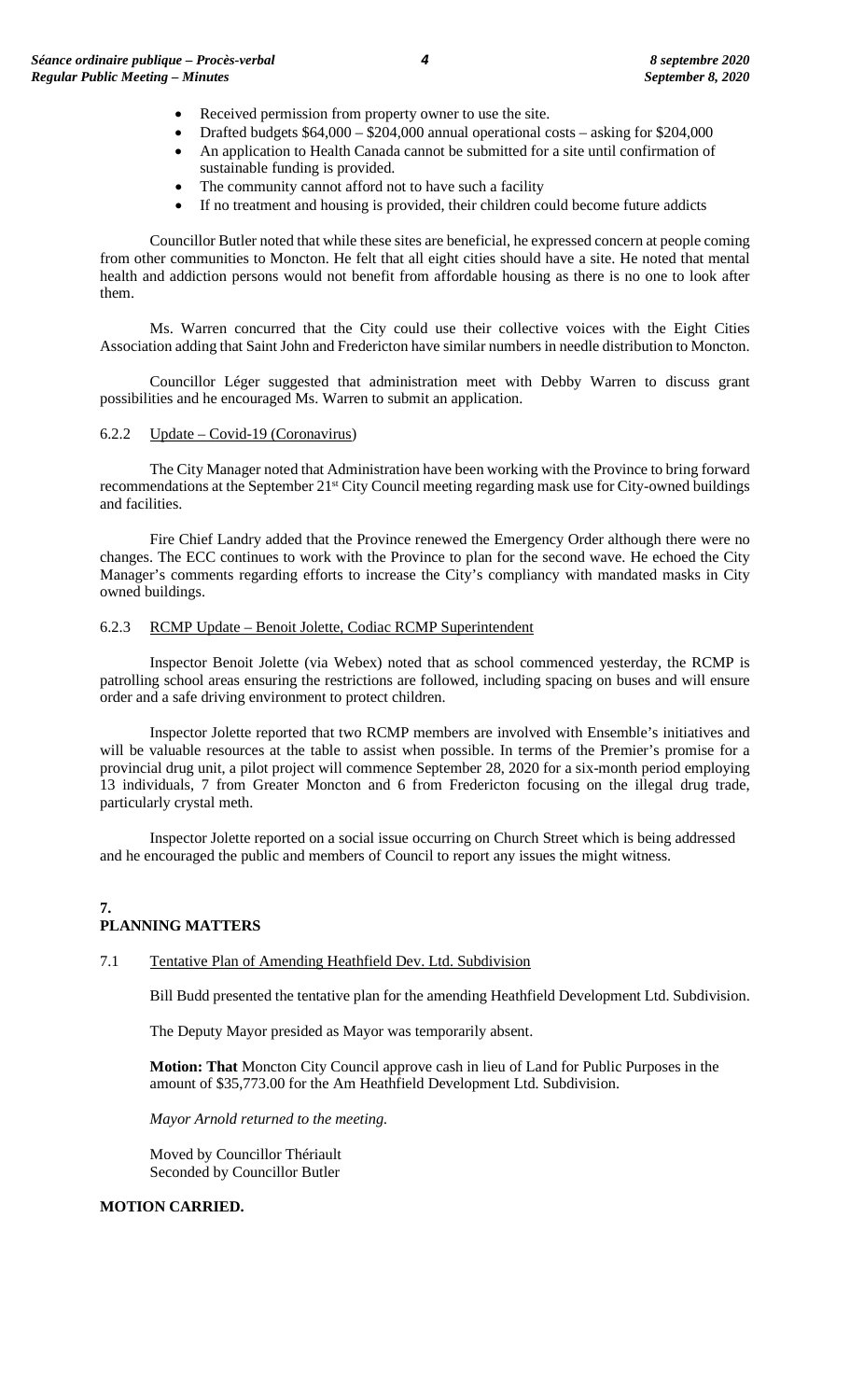- Received permission from property owner to use the site.
- Drafted budgets \$64,000 \$204,000 annual operational costs asking for \$204,000
- An application to Health Canada cannot be submitted for a site until confirmation of sustainable funding is provided.
- The community cannot afford not to have such a facility
- If no treatment and housing is provided, their children could become future addicts

Councillor Butler noted that while these sites are beneficial, he expressed concern at people coming from other communities to Moncton. He felt that all eight cities should have a site. He noted that mental health and addiction persons would not benefit from affordable housing as there is no one to look after them.

Ms. Warren concurred that the City could use their collective voices with the Eight Cities Association adding that Saint John and Fredericton have similar numbers in needle distribution to Moncton.

Councillor Léger suggested that administration meet with Debby Warren to discuss grant possibilities and he encouraged Ms. Warren to submit an application.

#### 6.2.2 Update – Covid-19 (Coronavirus)

The City Manager noted that Administration have been working with the Province to bring forward recommendations at the September 21<sup>st</sup> City Council meeting regarding mask use for City-owned buildings and facilities.

Fire Chief Landry added that the Province renewed the Emergency Order although there were no changes. The ECC continues to work with the Province to plan for the second wave. He echoed the City Manager's comments regarding efforts to increase the City's compliancy with mandated masks in City owned buildings.

# 6.2.3 RCMP Update – Benoit Jolette, Codiac RCMP Superintendent

Inspector Benoit Jolette (via Webex) noted that as school commenced yesterday, the RCMP is patrolling school areas ensuring the restrictions are followed, including spacing on buses and will ensure order and a safe driving environment to protect children.

Inspector Jolette reported that two RCMP members are involved with Ensemble's initiatives and will be valuable resources at the table to assist when possible. In terms of the Premier's promise for a provincial drug unit, a pilot project will commence September 28, 2020 for a six-month period employing 13 individuals, 7 from Greater Moncton and 6 from Fredericton focusing on the illegal drug trade, particularly crystal meth.

Inspector Jolette reported on a social issue occurring on Church Street which is being addressed and he encouraged the public and members of Council to report any issues the might witness.

# **7. PLANNING MATTERS**

# 7.1 Tentative Plan of Amending Heathfield Dev. Ltd. Subdivision

Bill Budd presented the tentative plan for the amending Heathfield Development Ltd. Subdivision.

The Deputy Mayor presided as Mayor was temporarily absent.

**Motion: That** Moncton City Council approve cash in lieu of Land for Public Purposes in the amount of \$35,773.00 for the Am Heathfield Development Ltd. Subdivision.

*Mayor Arnold returned to the meeting.*

Moved by Councillor Thériault Seconded by Councillor Butler

#### **MOTION CARRIED.**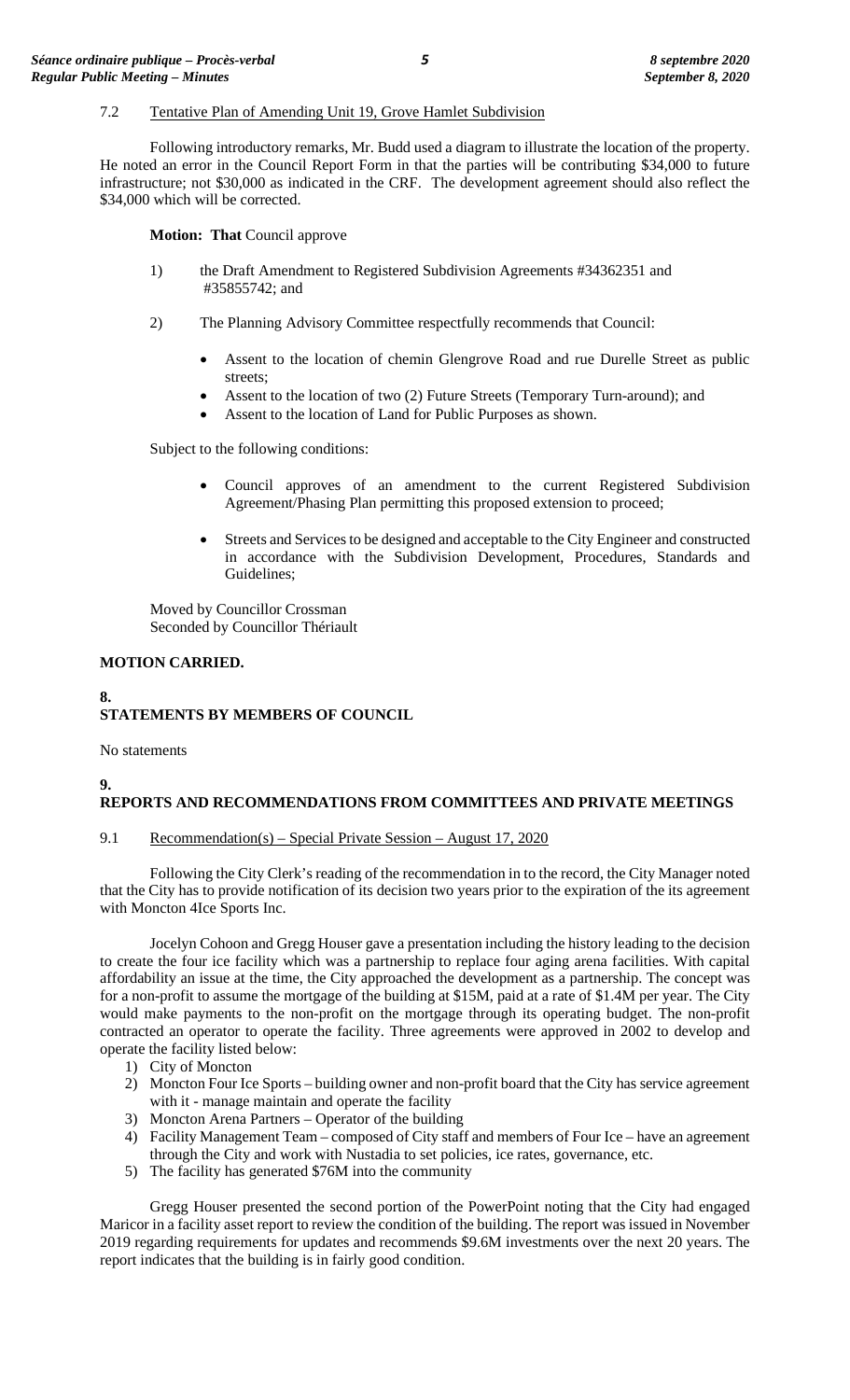#### 7.2 Tentative Plan of Amending Unit 19, Grove Hamlet Subdivision

Following introductory remarks, Mr. Budd used a diagram to illustrate the location of the property. He noted an error in the Council Report Form in that the parties will be contributing \$34,000 to future infrastructure; not \$30,000 as indicated in the CRF. The development agreement should also reflect the \$34,000 which will be corrected.

**Motion: That** Council approve

- 1) the Draft Amendment to Registered Subdivision Agreements #34362351 and #35855742; and
- 2) The Planning Advisory Committee respectfully recommends that Council:
	- Assent to the location of chemin Glengrove Road and rue Durelle Street as public streets;
	- Assent to the location of two (2) Future Streets (Temporary Turn-around); and
	- Assent to the location of Land for Public Purposes as shown.

Subject to the following conditions:

- Council approves of an amendment to the current Registered Subdivision Agreement/Phasing Plan permitting this proposed extension to proceed;
- Streets and Services to be designed and acceptable to the City Engineer and constructed in accordance with the Subdivision Development, Procedures, Standards and Guidelines;

Moved by Councillor Crossman Seconded by Councillor Thériault

#### **MOTION CARRIED.**

#### **8.**

**9.**

# **STATEMENTS BY MEMBERS OF COUNCIL**

No statements

# **REPORTS AND RECOMMENDATIONS FROM COMMITTEES AND PRIVATE MEETINGS**

#### 9.1 Recommendation(s) – Special Private Session – August 17, 2020

Following the City Clerk's reading of the recommendation in to the record, the City Manager noted that the City has to provide notification of its decision two years prior to the expiration of the its agreement with Moncton 4Ice Sports Inc.

Jocelyn Cohoon and Gregg Houser gave a presentation including the history leading to the decision to create the four ice facility which was a partnership to replace four aging arena facilities. With capital affordability an issue at the time, the City approached the development as a partnership. The concept was for a non-profit to assume the mortgage of the building at \$15M, paid at a rate of \$1.4M per year. The City would make payments to the non-profit on the mortgage through its operating budget. The non-profit contracted an operator to operate the facility. Three agreements were approved in 2002 to develop and operate the facility listed below:

- 1) City of Moncton
- 2) Moncton Four Ice Sports building owner and non-profit board that the City has service agreement with it - manage maintain and operate the facility
- 3) Moncton Arena Partners Operator of the building
- 4) Facility Management Team composed of City staff and members of Four Ice have an agreement through the City and work with Nustadia to set policies, ice rates, governance, etc.
- 5) The facility has generated \$76M into the community

Gregg Houser presented the second portion of the PowerPoint noting that the City had engaged Maricor in a facility asset report to review the condition of the building. The report was issued in November 2019 regarding requirements for updates and recommends \$9.6M investments over the next 20 years. The report indicates that the building is in fairly good condition.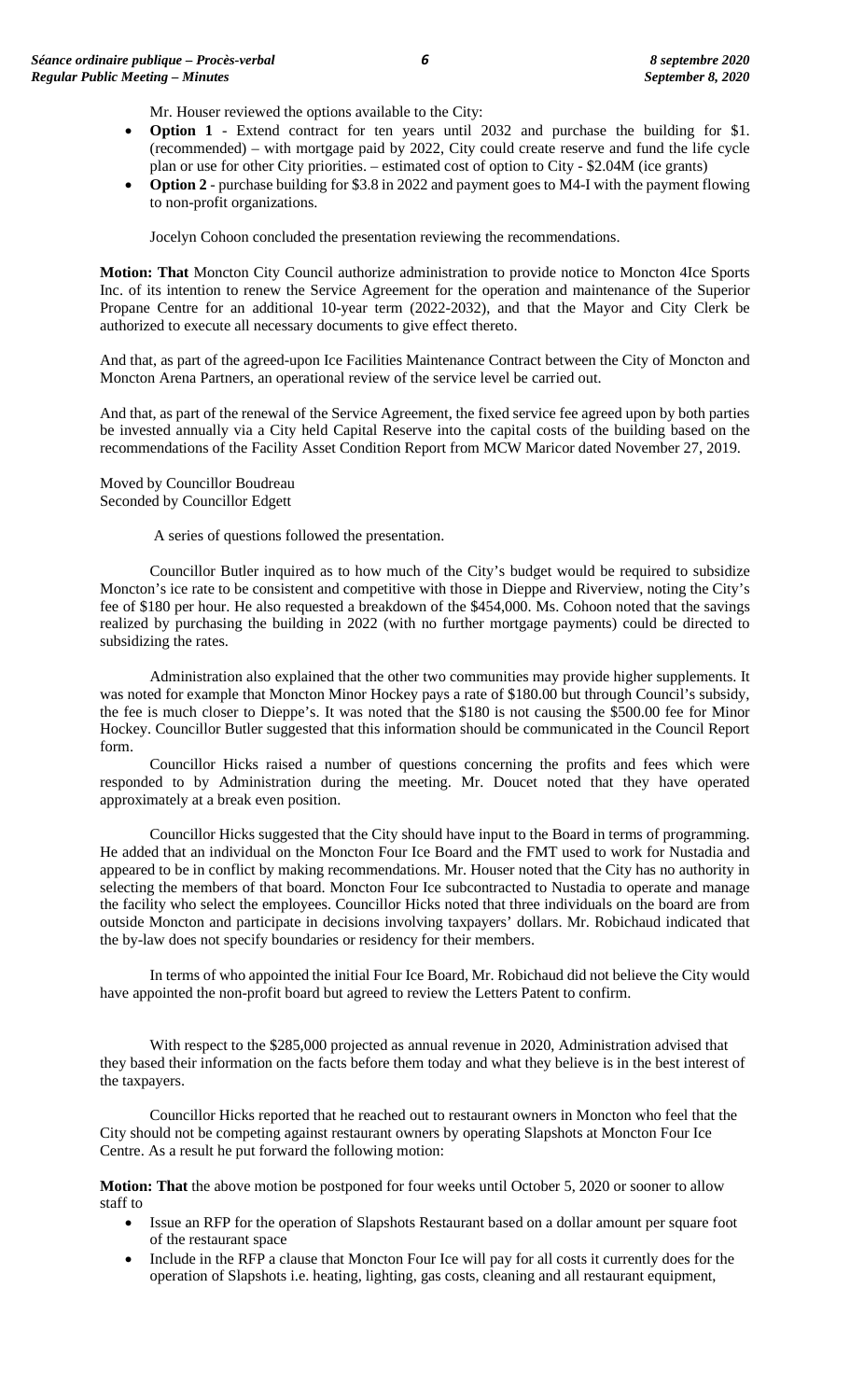Mr. Houser reviewed the options available to the City:

- **Option 1** Extend contract for ten years until 2032 and purchase the building for \$1. (recommended) – with mortgage paid by 2022, City could create reserve and fund the life cycle plan or use for other City priorities. – estimated cost of option to City - \$2.04M (ice grants)
- **Option 2** purchase building for \$3.8 in 2022 and payment goes to M4-I with the payment flowing to non-profit organizations.

Jocelyn Cohoon concluded the presentation reviewing the recommendations.

**Motion: That** Moncton City Council authorize administration to provide notice to Moncton 4Ice Sports Inc. of its intention to renew the Service Agreement for the operation and maintenance of the Superior Propane Centre for an additional 10-year term (2022-2032), and that the Mayor and City Clerk be authorized to execute all necessary documents to give effect thereto.

And that, as part of the agreed-upon Ice Facilities Maintenance Contract between the City of Moncton and Moncton Arena Partners, an operational review of the service level be carried out.

And that, as part of the renewal of the Service Agreement, the fixed service fee agreed upon by both parties be invested annually via a City held Capital Reserve into the capital costs of the building based on the recommendations of the Facility Asset Condition Report from MCW Maricor dated November 27, 2019.

Moved by Councillor Boudreau Seconded by Councillor Edgett

A series of questions followed the presentation.

Councillor Butler inquired as to how much of the City's budget would be required to subsidize Moncton's ice rate to be consistent and competitive with those in Dieppe and Riverview, noting the City's fee of \$180 per hour. He also requested a breakdown of the \$454,000. Ms. Cohoon noted that the savings realized by purchasing the building in 2022 (with no further mortgage payments) could be directed to subsidizing the rates.

Administration also explained that the other two communities may provide higher supplements. It was noted for example that Moncton Minor Hockey pays a rate of \$180.00 but through Council's subsidy, the fee is much closer to Dieppe's. It was noted that the \$180 is not causing the \$500.00 fee for Minor Hockey. Councillor Butler suggested that this information should be communicated in the Council Report form.

Councillor Hicks raised a number of questions concerning the profits and fees which were responded to by Administration during the meeting. Mr. Doucet noted that they have operated approximately at a break even position.

Councillor Hicks suggested that the City should have input to the Board in terms of programming. He added that an individual on the Moncton Four Ice Board and the FMT used to work for Nustadia and appeared to be in conflict by making recommendations. Mr. Houser noted that the City has no authority in selecting the members of that board. Moncton Four Ice subcontracted to Nustadia to operate and manage the facility who select the employees. Councillor Hicks noted that three individuals on the board are from outside Moncton and participate in decisions involving taxpayers' dollars. Mr. Robichaud indicated that the by-law does not specify boundaries or residency for their members.

In terms of who appointed the initial Four Ice Board, Mr. Robichaud did not believe the City would have appointed the non-profit board but agreed to review the Letters Patent to confirm.

With respect to the \$285,000 projected as annual revenue in 2020, Administration advised that they based their information on the facts before them today and what they believe is in the best interest of the taxpayers.

Councillor Hicks reported that he reached out to restaurant owners in Moncton who feel that the City should not be competing against restaurant owners by operating Slapshots at Moncton Four Ice Centre. As a result he put forward the following motion:

**Motion: That** the above motion be postponed for four weeks until October 5, 2020 or sooner to allow staff to

- Issue an RFP for the operation of Slapshots Restaurant based on a dollar amount per square foot of the restaurant space
- Include in the RFP a clause that Moncton Four Ice will pay for all costs it currently does for the operation of Slapshots i.e. heating, lighting, gas costs, cleaning and all restaurant equipment,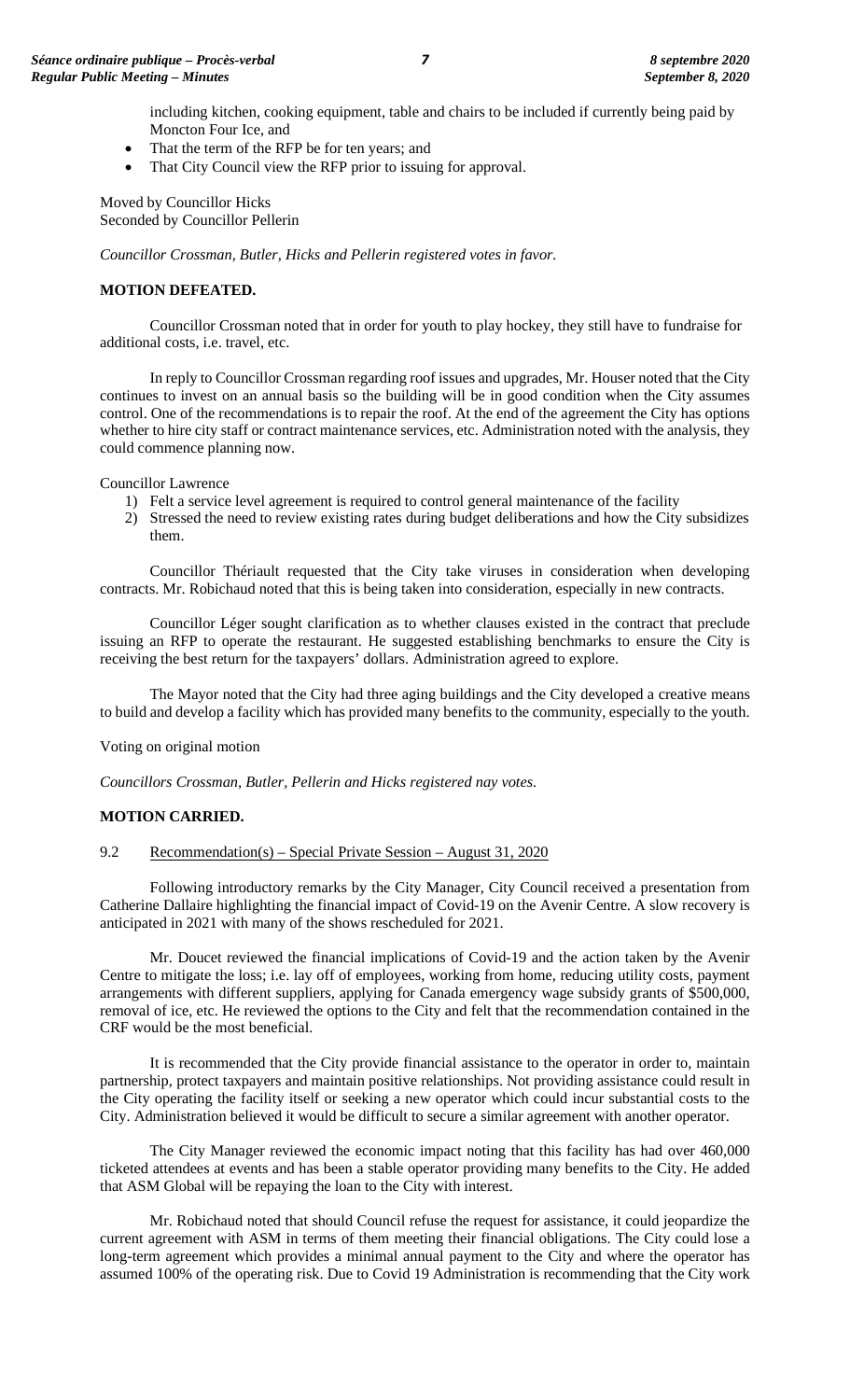including kitchen, cooking equipment, table and chairs to be included if currently being paid by Moncton Four Ice, and

- That the term of the RFP be for ten years; and
- That City Council view the RFP prior to issuing for approval.

Moved by Councillor Hicks Seconded by Councillor Pellerin

*Councillor Crossman, Butler, Hicks and Pellerin registered votes in favor.*

#### **MOTION DEFEATED.**

Councillor Crossman noted that in order for youth to play hockey, they still have to fundraise for additional costs, i.e. travel, etc.

In reply to Councillor Crossman regarding roof issues and upgrades, Mr. Houser noted that the City continues to invest on an annual basis so the building will be in good condition when the City assumes control. One of the recommendations is to repair the roof. At the end of the agreement the City has options whether to hire city staff or contract maintenance services, etc. Administration noted with the analysis, they could commence planning now.

Councillor Lawrence

- 1) Felt a service level agreement is required to control general maintenance of the facility
- 2) Stressed the need to review existing rates during budget deliberations and how the City subsidizes them.

Councillor Thériault requested that the City take viruses in consideration when developing contracts. Mr. Robichaud noted that this is being taken into consideration, especially in new contracts.

Councillor Léger sought clarification as to whether clauses existed in the contract that preclude issuing an RFP to operate the restaurant. He suggested establishing benchmarks to ensure the City is receiving the best return for the taxpayers' dollars. Administration agreed to explore.

The Mayor noted that the City had three aging buildings and the City developed a creative means to build and develop a facility which has provided many benefits to the community, especially to the youth.

# Voting on original motion

*Councillors Crossman, Butler, Pellerin and Hicks registered nay votes.*

# **MOTION CARRIED.**

# 9.2 Recommendation(s) – Special Private Session – August 31, 2020

Following introductory remarks by the City Manager, City Council received a presentation from Catherine Dallaire highlighting the financial impact of Covid-19 on the Avenir Centre. A slow recovery is anticipated in 2021 with many of the shows rescheduled for 2021.

Mr. Doucet reviewed the financial implications of Covid-19 and the action taken by the Avenir Centre to mitigate the loss; i.e. lay off of employees, working from home, reducing utility costs, payment arrangements with different suppliers, applying for Canada emergency wage subsidy grants of \$500,000, removal of ice, etc. He reviewed the options to the City and felt that the recommendation contained in the CRF would be the most beneficial.

It is recommended that the City provide financial assistance to the operator in order to, maintain partnership, protect taxpayers and maintain positive relationships. Not providing assistance could result in the City operating the facility itself or seeking a new operator which could incur substantial costs to the City. Administration believed it would be difficult to secure a similar agreement with another operator.

The City Manager reviewed the economic impact noting that this facility has had over 460,000 ticketed attendees at events and has been a stable operator providing many benefits to the City. He added that ASM Global will be repaying the loan to the City with interest.

Mr. Robichaud noted that should Council refuse the request for assistance, it could jeopardize the current agreement with ASM in terms of them meeting their financial obligations. The City could lose a long-term agreement which provides a minimal annual payment to the City and where the operator has assumed 100% of the operating risk. Due to Covid 19 Administration is recommending that the City work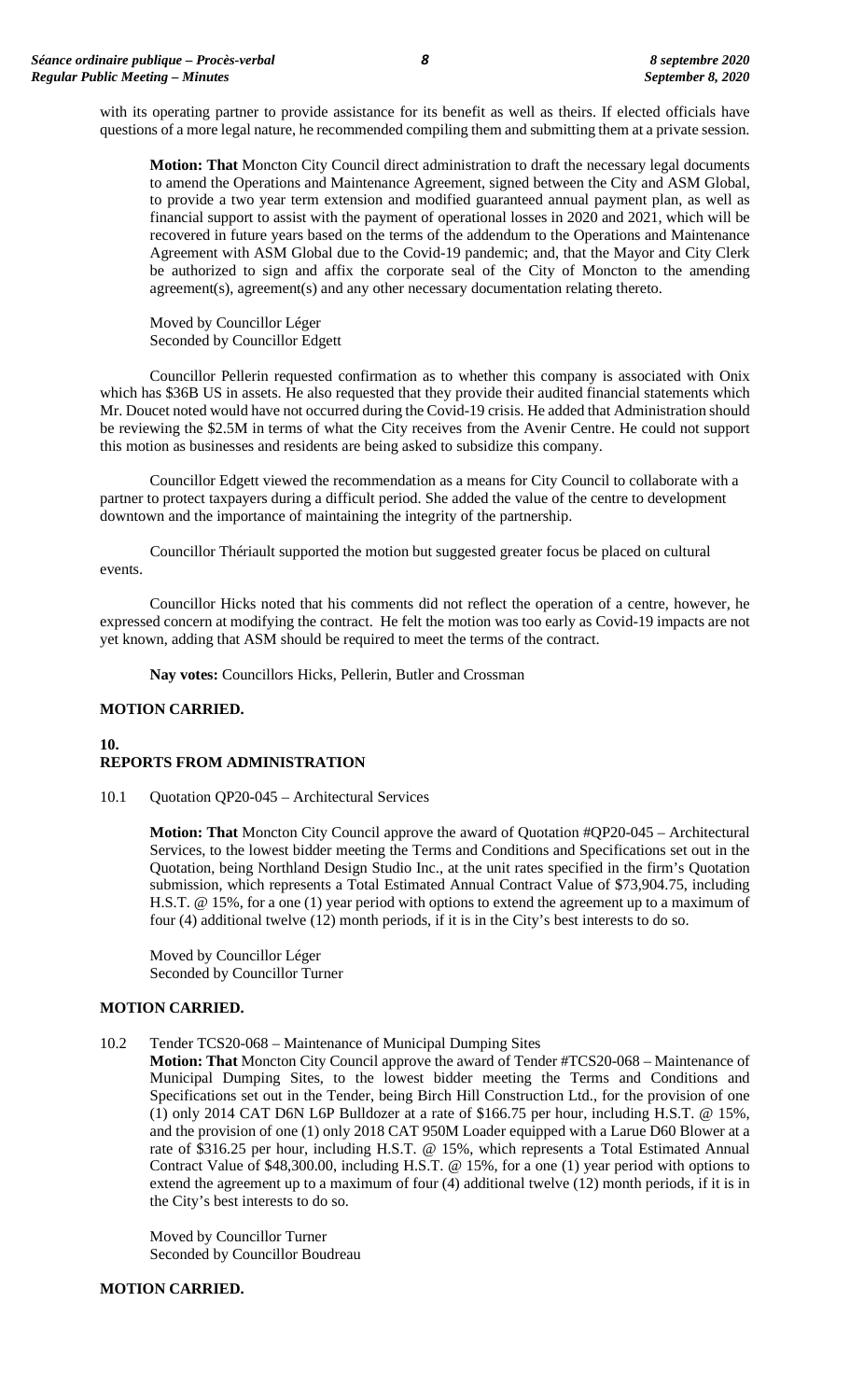with its operating partner to provide assistance for its benefit as well as theirs. If elected officials have questions of a more legal nature, he recommended compiling them and submitting them at a private session.

**Motion: That** Moncton City Council direct administration to draft the necessary legal documents to amend the Operations and Maintenance Agreement, signed between the City and ASM Global, to provide a two year term extension and modified guaranteed annual payment plan, as well as financial support to assist with the payment of operational losses in 2020 and 2021, which will be recovered in future years based on the terms of the addendum to the Operations and Maintenance Agreement with ASM Global due to the Covid-19 pandemic; and, that the Mayor and City Clerk be authorized to sign and affix the corporate seal of the City of Moncton to the amending agreement(s), agreement(s) and any other necessary documentation relating thereto.

Moved by Councillor Léger Seconded by Councillor Edgett

Councillor Pellerin requested confirmation as to whether this company is associated with Onix which has \$36B US in assets. He also requested that they provide their audited financial statements which Mr. Doucet noted would have not occurred during the Covid-19 crisis. He added that Administration should be reviewing the \$2.5M in terms of what the City receives from the Avenir Centre. He could not support this motion as businesses and residents are being asked to subsidize this company.

Councillor Edgett viewed the recommendation as a means for City Council to collaborate with a partner to protect taxpayers during a difficult period. She added the value of the centre to development downtown and the importance of maintaining the integrity of the partnership.

Councillor Thériault supported the motion but suggested greater focus be placed on cultural events.

Councillor Hicks noted that his comments did not reflect the operation of a centre, however, he expressed concern at modifying the contract. He felt the motion was too early as Covid-19 impacts are not yet known, adding that ASM should be required to meet the terms of the contract.

**Nay votes:** Councillors Hicks, Pellerin, Butler and Crossman

# **MOTION CARRIED.**

# **10. REPORTS FROM ADMINISTRATION**

10.1 Quotation QP20-045 – Architectural Services

**Motion: That** Moncton City Council approve the award of Quotation #QP20-045 – Architectural Services, to the lowest bidder meeting the Terms and Conditions and Specifications set out in the Quotation, being Northland Design Studio Inc., at the unit rates specified in the firm's Quotation submission, which represents a Total Estimated Annual Contract Value of \$73,904.75, including H.S.T. @ 15%, for a one (1) year period with options to extend the agreement up to a maximum of four (4) additional twelve (12) month periods, if it is in the City's best interests to do so.

Moved by Councillor Léger Seconded by Councillor Turner

# **MOTION CARRIED.**

10.2 Tender TCS20-068 – Maintenance of Municipal Dumping Sites

**Motion: That** Moncton City Council approve the award of Tender #TCS20-068 – Maintenance of Municipal Dumping Sites, to the lowest bidder meeting the Terms and Conditions and Specifications set out in the Tender, being Birch Hill Construction Ltd., for the provision of one (1) only 2014 CAT D6N L6P Bulldozer at a rate of \$166.75 per hour, including H.S.T. @ 15%, and the provision of one (1) only 2018 CAT 950M Loader equipped with a Larue D60 Blower at a rate of \$316.25 per hour, including H.S.T. @ 15%, which represents a Total Estimated Annual Contract Value of \$48,300.00, including H.S.T. @ 15%, for a one (1) year period with options to extend the agreement up to a maximum of four (4) additional twelve (12) month periods, if it is in the City's best interests to do so.

Moved by Councillor Turner Seconded by Councillor Boudreau

# **MOTION CARRIED.**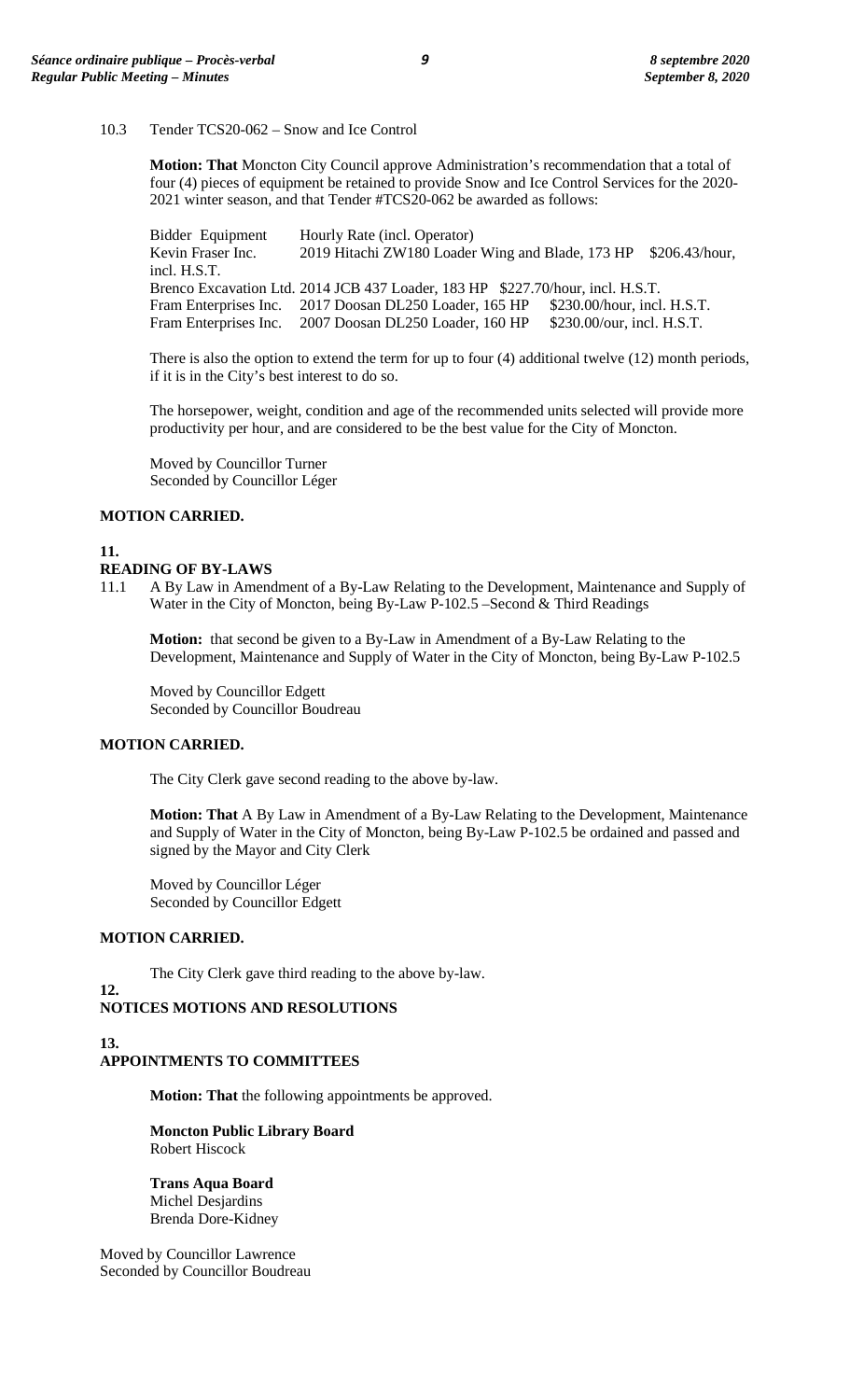10.3 Tender TCS20-062 – Snow and Ice Control

**Motion: That** Moncton City Council approve Administration's recommendation that a total of four (4) pieces of equipment be retained to provide Snow and Ice Control Services for the 2020- 2021 winter season, and that Tender #TCS20-062 be awarded as follows:

Bidder Equipment Hourly Rate (incl. Operator)<br>Kevin Fraser Inc. 2019 Hitachi ZW180 Loader 2019 Hitachi ZW180 Loader Wing and Blade, 173 HP \$206.43/hour, incl. H.S.T. Brenco Excavation Ltd. 2014 JCB 437 Loader, 183 HP \$227.70/hour, incl. H.S.T. Fram Enterprises Inc. 2017 Doosan DL250 Loader, 165 HP \$230.00/hour, incl. H.S.T. Fram Enterprises Inc. 2007 Doosan DL250 Loader, 160 HP \$230.00/our, incl. H.S.T.

There is also the option to extend the term for up to four (4) additional twelve (12) month periods, if it is in the City's best interest to do so.

The horsepower, weight, condition and age of the recommended units selected will provide more productivity per hour, and are considered to be the best value for the City of Moncton.

Moved by Councillor Turner Seconded by Councillor Léger

#### **MOTION CARRIED.**

# **11.**

# **READING OF BY-LAWS**

11.1 A By Law in Amendment of a By-Law Relating to the Development, Maintenance and Supply of Water in the City of Moncton, being By-Law P-102.5 –Second & Third Readings

**Motion:** that second be given to a By-Law in Amendment of a By-Law Relating to the Development, Maintenance and Supply of Water in the City of Moncton, being By-Law P-102.5

Moved by Councillor Edgett Seconded by Councillor Boudreau

# **MOTION CARRIED.**

The City Clerk gave second reading to the above by-law.

**Motion: That** A By Law in Amendment of a By-Law Relating to the Development, Maintenance and Supply of Water in the City of Moncton, being By-Law P-102.5 be ordained and passed and signed by the Mayor and City Clerk

Moved by Councillor Léger Seconded by Councillor Edgett

# **MOTION CARRIED.**

**12.**

The City Clerk gave third reading to the above by-law.

# **NOTICES MOTIONS AND RESOLUTIONS**

# **13. APPOINTMENTS TO COMMITTEES**

**Motion: That** the following appointments be approved.

**Moncton Public Library Board** Robert Hiscock

**Trans Aqua Board** Michel Desjardins Brenda Dore-Kidney

Moved by Councillor Lawrence Seconded by Councillor Boudreau